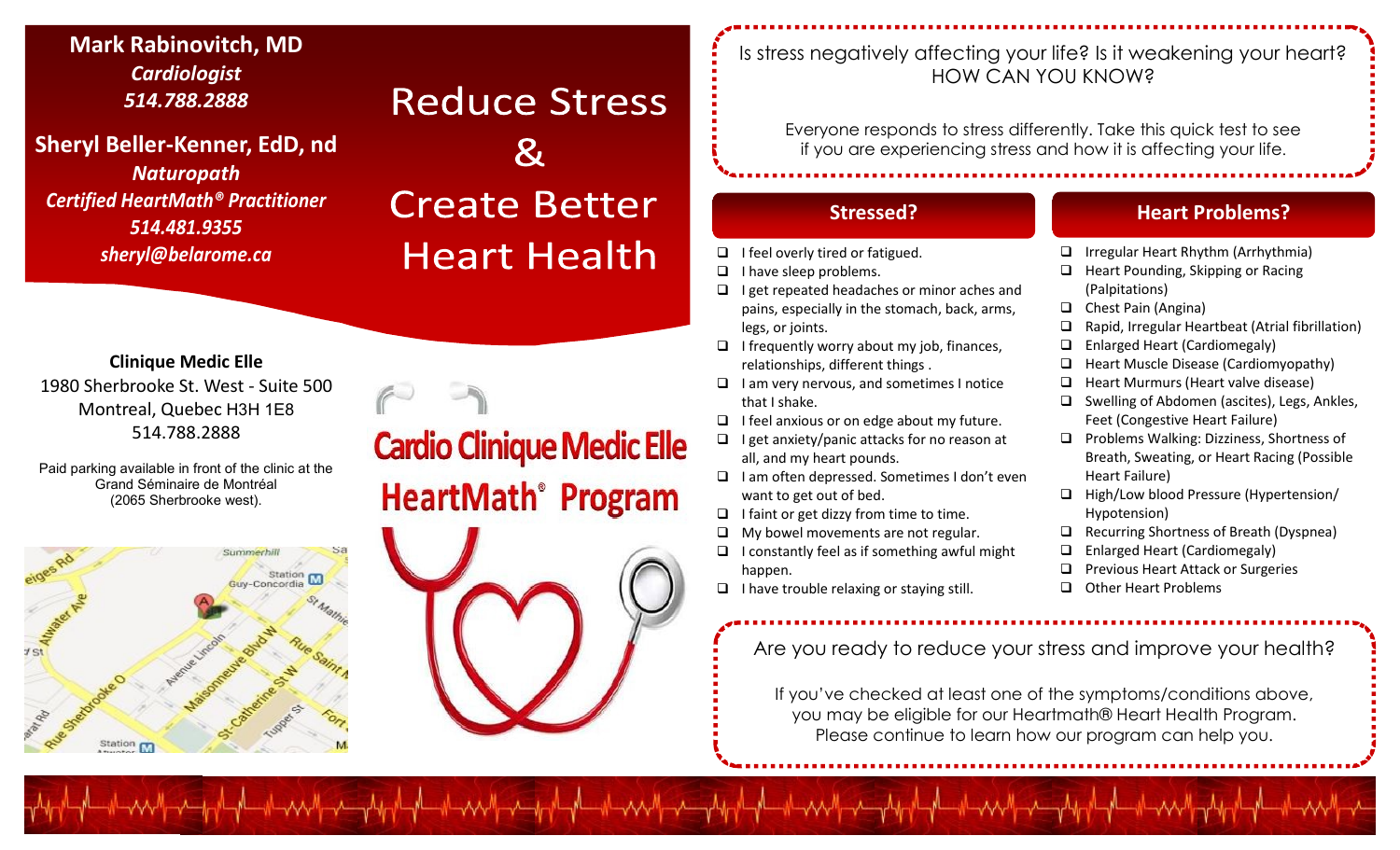**Mark Rabinovitch, MD** *Cardiologist 514.788.2888*

**Sheryl Beller -Kenner, EdD, nd** *Naturopath Certified HeartMath® Practitioner 514.481.9355 sheryl@belarome.ca*

## **Reduce Stress**

# $\boldsymbol{\alpha}$ **Create Better Heart Health**

**Clinique Medic Elle** 1980 Sherbrooke St. West - Suite 500 Montreal, Quebec H3H 1E8 514.788.2888

Paid parking available in front of the clinic at the Grand Séminaire de Montréal (2065 Sherbrooke west).



# **Cardio Clinique Medic Elle HeartMath<sup>®</sup>** Program

## Is stress negatively affecting your life? Is it weakening your heart? HOW CAN YOU KNOW?

Everyone responds to stress differently. Take this quick test to see if you are experiencing stress and how it is affecting your life .

- $\Box$  I feel overly tired or fatigued.
- $\Box$  I have sleep problems.
- $\Box$  I get repeated headaches or minor aches and pains, especially in the stomach, back, arms, legs, or joints.
- $\Box$  I frequently worry about my job, finances, relationships, different things .
- $\Box$  I am very nervous, and sometimes I notice that I shake.
- $\Box$  I feel anxious or on edge about my future.
- $\Box$  I get anxiety/panic attacks for no reason at all, and my heart pounds.
- $\Box$  I am often depressed. Sometimes I don't even want to get out of bed.
- $\Box$  I faint or get dizzy from time to time.
- $\Box$  My bowel movements are not regular.
- $\Box$  I constantly feel as if something awful might happen.
- $\Box$  I have trouble relaxing or staying still.

╶**╷**╱╲╲╲╜╢╌╌╱┰╌╌┦╓╌╌┦╌╌┦╌┦╌╝╌╌╌╌╝┥┰╌┦┙╓╌┦┖╌╌┦┸┦╓╌╝┖╌╌┦┸┥╌╌┦┸╌╌┦┸┥╌╌╝┸╌╌┦┸┥

Are you ready to reduce your stress and improve your health?

If you've checked at least one of the symptoms/conditions above, you may be eligible for our Heartmath® Heart Health Program. Please continue to learn how our program can help you.

## **Stressed? Heart Problems?**

- □ Irregular Heart Rhythm (Arrhythmia)
- $\Box$  Heart Pounding, Skipping or Racing (Palpitations)
- □ Chest Pain (Angina)
- $\Box$  Rapid, Irregular Heartbeat (Atrial fibrillation)
- □ Enlarged Heart (Cardiomegaly)
- □ Heart Muscle Disease (Cardiomyopathy)
- $\Box$  Heart Murmurs (Heart valve disease)
- □ Swelling of Abdomen (ascites), Legs, Ankles, Feet (Congestive Heart Failure)
- **Problems Walking: Dizziness, Shortness of** Breath, Sweating, or Heart Racing (Possible Heart Failure)
- □ High/Low blood Pressure (Hypertension/ Hypotension)
- □ Recurring Shortness of Breath (Dyspnea)
- □ Enlarged Heart (Cardiomegaly)
- **Q** Previous Heart Attack or Surgeries
- Other Heart Problems